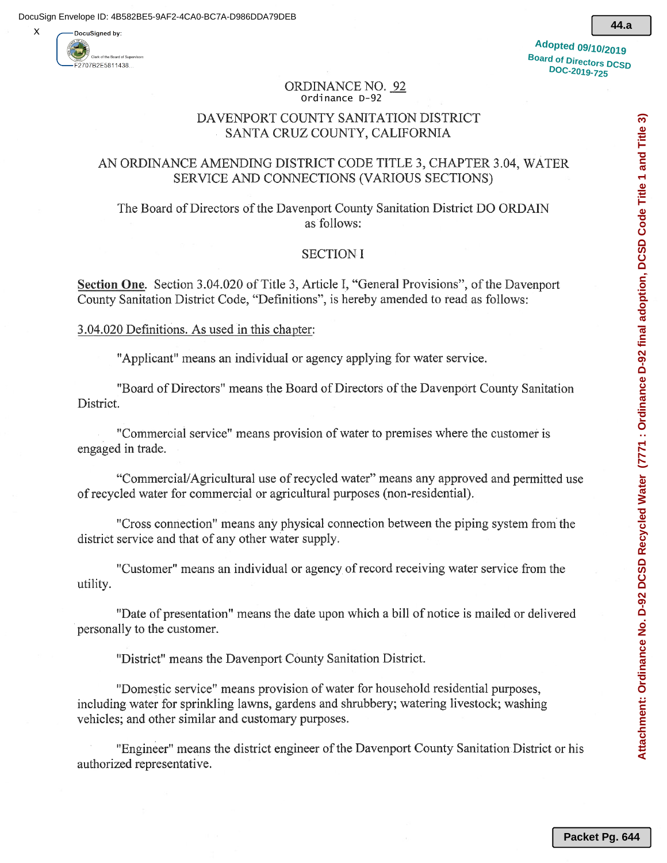

X

**44.a**

#### **ORDINANCE NO. 92** Ordinance D-92

# DAVENPORT COUNTY SANITATION DISTRICT SANTA CRUZ COUNTY, CALIFORNIA

# AN ORDINANCE AMENDING DISTRICT CODE TITLE 3, CHAPTER 3.04, WATER SERVICE AND CONNECTIONS (VARIOUS SECTIONS)

The Board of Directors of the Davenport County Sanitation District DO ORDAIN as follows:

## **SECTION I**

Section One. Section 3.04.020 of Title 3, Article I, "General Provisions", of the Davenport County Sanitation District Code, "Definitions", is hereby amended to read as follows:

## 3.04.020 Definitions. As used in this chapter:

"Applicant" means an individual or agency applying for water service.

"Board of Directors" means the Board of Directors of the Davenport County Sanitation District.

"Commercial service" means provision of water to premises where the customer is engaged in trade.

"Commercial/Agricultural use of recycled water" means any approved and permitted use of recycled water for commercial or agricultural purposes (non-residential).

"Cross connection" means any physical connection between the piping system from the district service and that of any other water supply.

"Customer" means an individual or agency of record receiving water service from the utility.

"Date of presentation" means the date upon which a bill of notice is mailed or delivered personally to the customer.

"District" means the Davenport County Sanitation District.

"Domestic service" means provision of water for household residential purposes, including water for sprinkling lawns, gardens and shrubbery; watering livestock; washing vehicles; and other similar and customary purposes.

"Engineer" means the district engineer of the Davenport County Sanitation District or his authorized representative.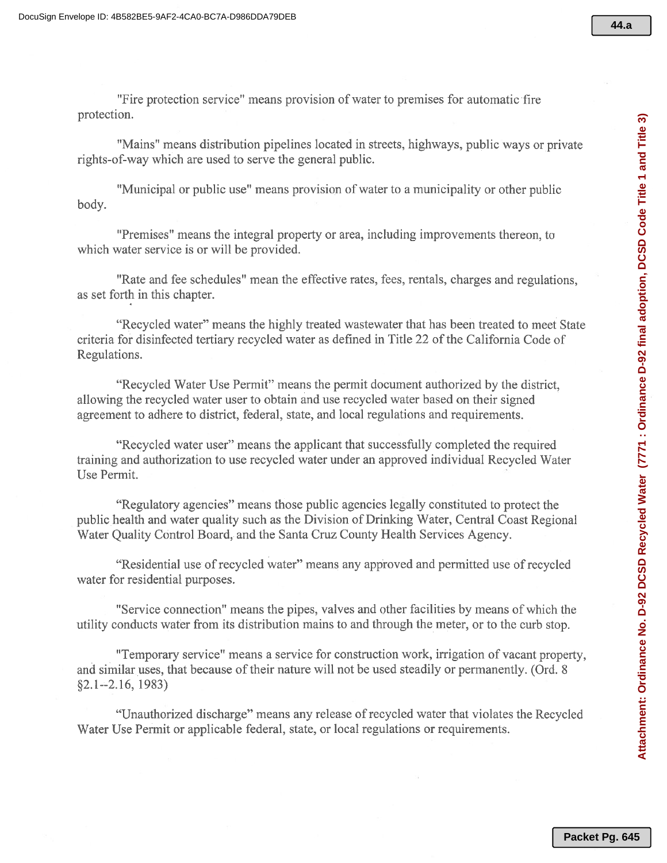"Fire protection service" means provision of water to premises for automatic fire protection.

"Mains" means distribution pipelines located in streets, highways, public ways or private rights-of-way which are used to serve the general public.

"Municipal or public use" means provision of water to a municipality or other public body.

"Premises" means the integral property or area, including improvements thereon, to which water service is or will be provided.

"Rate and fee schedules" mean the effective rates, fees, rentals, charges and regulations, as set forth in this chapter.

"Recycled water" means the highly treated wastewater that has been treated to meet State criteria for disinfected tertiary recycled water as defined in Title 22 of the California Code of Regulations.

"Recycled Water Use Permit" means the permit document authorized by the district, allowing the recycled water user to obtain and use recycled water based on their signed agreement to adhere to district, federal, state, and local regulations and requirements.

"Recycled water user" means the applicant that successfully completed the required training and authorization to use recycled water under an approved individual Recycled Water Use Permit.

"Regulatory agencies" means those public agencies legally constituted to protect the public health and water quality such as the Division of Drinking Water, Central Coast Regional Water Quality Control Board, and the Santa Cruz County Health Services Agency.

"Residential use of recycled water" means any approved and permitted use of recycled water for residential purposes.

"Service connection" means the pipes, valves and other facilities by means of which the utility conducts water from its distribution mains to and through the meter, or to the curb stop.

"Temporary service" means a service for construction work, irrigation of vacant property, and similar uses, that because of their nature will not be used steadily or permanently. (Ord. 8)  $\S2.1 - 2.16, 1983$ 

"Unauthorized discharge" means any release of recycled water that violates the Recycled Water Use Permit or applicable federal, state, or local regulations or requirements.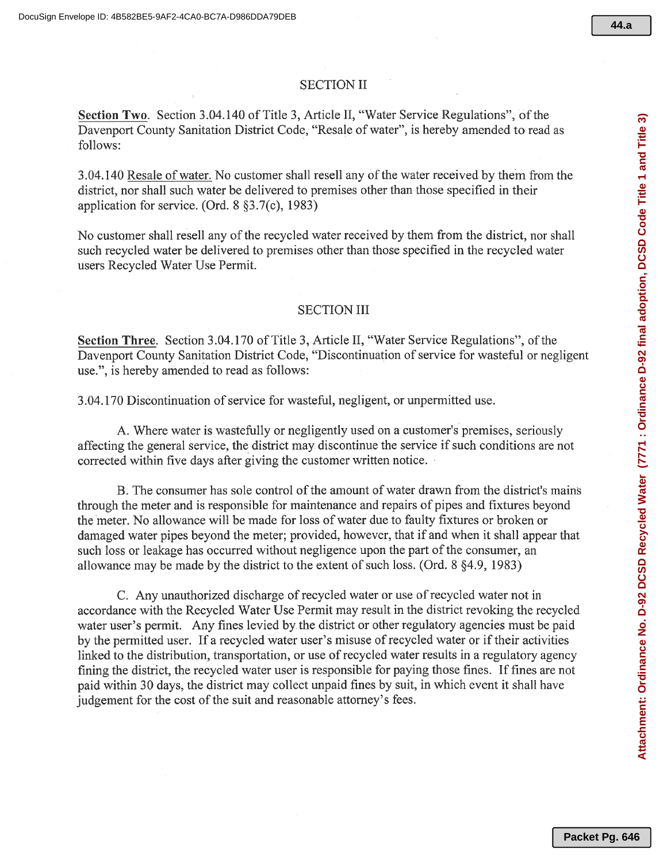## **SECTION II**

Section Two. Section 3.04.140 of Title 3, Article II, "Water Service Regulations", of the Davenport County Sanitation District Code, "Resale of water", is hereby amended to read as follows:

3.04.140 Resale of water. No customer shall resell any of the water received by them from the district, nor shall such water be delivered to premises other than those specified in their application for service. (Ord.  $8$   $\S3.7(c)$ , 1983)

No customer shall resell any of the recycled water received by them from the district, nor shall such recycled water be delivered to premises other than those specified in the recycled water users Recycled Water Use Permit.

## **SECTION III**

Section Three. Section 3.04.170 of Title 3, Article II, "Water Service Regulations", of the Davenport County Sanitation District Code, "Discontinuation of service for wasteful or negligent use.", is hereby amended to read as follows:

3.04.170 Discontinuation of service for wasteful, negligent, or unpermitted use.

A. Where water is wastefully or negligently used on a customer's premises, seriously affecting the general service, the district may discontinue the service if such conditions are not corrected within five days after giving the customer written notice.

B. The consumer has sole control of the amount of water drawn from the district's mains through the meter and is responsible for maintenance and repairs of pipes and fixtures beyond the meter. No allowance will be made for loss of water due to faulty fixtures or broken or damaged water pipes beyond the meter; provided, however, that if and when it shall appear that such loss or leakage has occurred without negligence upon the part of the consumer, an allowance may be made by the district to the extent of such loss. (Ord. 8 §4.9, 1983)

C. Any unauthorized discharge of recycled water or use of recycled water not in accordance with the Recycled Water Use Permit may result in the district revoking the recycled water user's permit. Any fines levied by the district or other regulatory agencies must be paid by the permitted user. If a recycled water user's misuse of recycled water or if their activities linked to the distribution, transportation, or use of recycled water results in a regulatory agency fining the district, the recycled water user is responsible for paying those fines. If fines are not paid within 30 days, the district may collect unpaid fines by suit, in which event it shall have judgement for the cost of the suit and reasonable attorney's fees.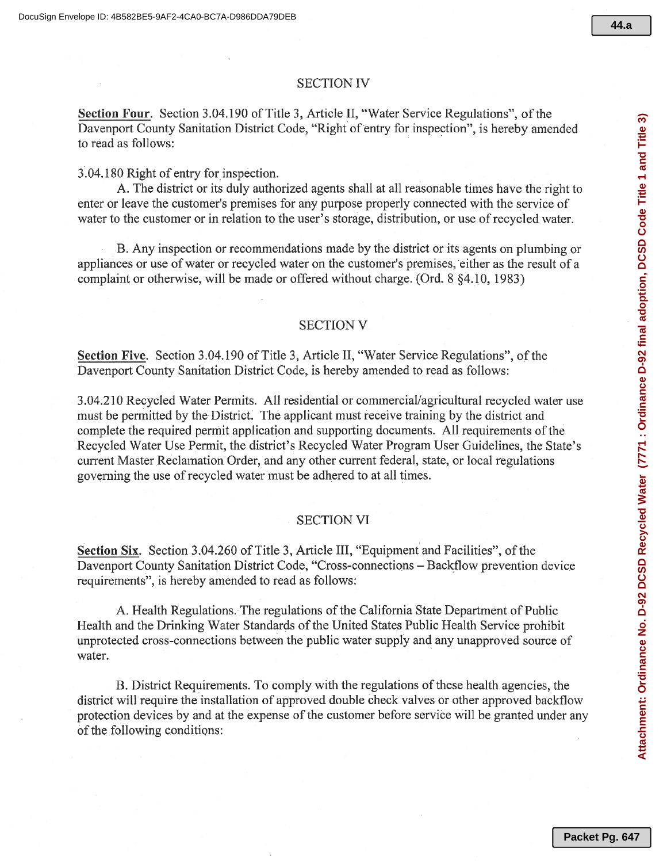## **SECTION IV**

Section Four. Section 3.04.190 of Title 3, Article II, "Water Service Regulations", of the Davenport County Sanitation District Code, "Right of entry for inspection", is hereby amended to read as follows:

3.04.180 Right of entry for inspection.

A. The district or its duly authorized agents shall at all reasonable times have the right to enter or leave the customer's premises for any purpose properly connected with the service of water to the customer or in relation to the user's storage, distribution, or use of recycled water.

B. Any inspection or recommendations made by the district or its agents on plumbing or appliances or use of water or recycled water on the customer's premises, either as the result of a complaint or otherwise, will be made or offered without charge. (Ord. 8 84.10, 1983)

## **SECTION V**

Section Five. Section 3.04.190 of Title 3, Article II, "Water Service Regulations", of the Davenport County Sanitation District Code, is hereby amended to read as follows:

3.04.210 Recycled Water Permits. All residential or commercial/agricultural recycled water use must be permitted by the District. The applicant must receive training by the district and complete the required permit application and supporting documents. All requirements of the Recycled Water Use Permit, the district's Recycled Water Program User Guidelines, the State's current Master Reclamation Order, and any other current federal, state, or local regulations governing the use of recycled water must be adhered to at all times.

#### **SECTION VI**

**Section Six.** Section 3.04.260 of Title 3, Article III, "Equipment and Facilities", of the Davenport County Sanitation District Code, "Cross-connections – Backflow prevention device requirements", is hereby amended to read as follows:

A. Health Regulations. The regulations of the California State Department of Public Health and the Drinking Water Standards of the United States Public Health Service prohibit unprotected cross-connections between the public water supply and any unapproved source of water.

B. District Requirements. To comply with the regulations of these health agencies, the district will require the installation of approved double check valves or other approved backflow protection devices by and at the expense of the customer before service will be granted under any of the following conditions: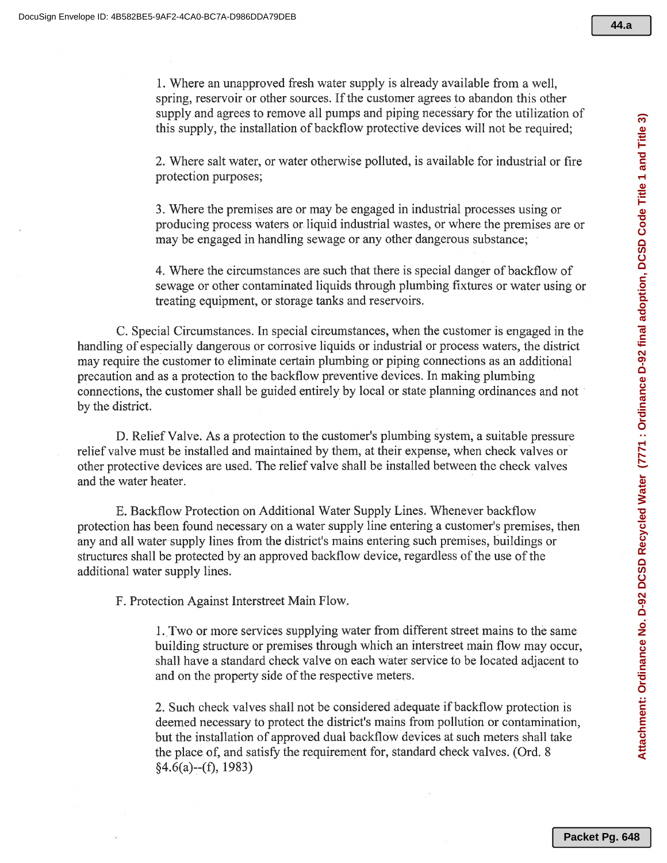1. Where an unapproved fresh water supply is already available from a well, spring, reservoir or other sources. If the customer agrees to abandon this other supply and agrees to remove all pumps and piping necessary for the utilization of this supply, the installation of backflow protective devices will not be required;

2. Where salt water, or water otherwise polluted, is available for industrial or fire protection purposes;

3. Where the premises are or may be engaged in industrial processes using or producing process waters or liquid industrial wastes, or where the premises are or may be engaged in handling sewage or any other dangerous substance;

4. Where the circumstances are such that there is special danger of backflow of sewage or other contaminated liquids through plumbing fixtures or water using or treating equipment, or storage tanks and reservoirs.

C. Special Circumstances. In special circumstances, when the customer is engaged in the handling of especially dangerous or corrosive liquids or industrial or process waters, the district may require the customer to eliminate certain plumbing or piping connections as an additional precaution and as a protection to the backflow preventive devices. In making plumbing connections, the customer shall be guided entirely by local or state planning ordinances and not by the district.

D. Relief Valve. As a protection to the customer's plumbing system, a suitable pressure relief valve must be installed and maintained by them, at their expense, when check valves or other protective devices are used. The relief valve shall be installed between the check valves and the water heater.

E. Backflow Protection on Additional Water Supply Lines. Whenever backflow protection has been found necessary on a water supply line entering a customer's premises, then any and all water supply lines from the district's mains entering such premises, buildings or structures shall be protected by an approved backflow device, regardless of the use of the additional water supply lines.

F. Protection Against Interstreet Main Flow.

1. Two or more services supplying water from different street mains to the same building structure or premises through which an interstreet main flow may occur, shall have a standard check valve on each water service to be located adjacent to and on the property side of the respective meters.

2. Such check valves shall not be considered adequate if backflow protection is deemed necessary to protect the district's mains from pollution or contamination, but the installation of approved dual backflow devices at such meters shall take the place of, and satisfy the requirement for, standard check valves. (Ord. 8)  $§4.6(a)$ --(f), 1983)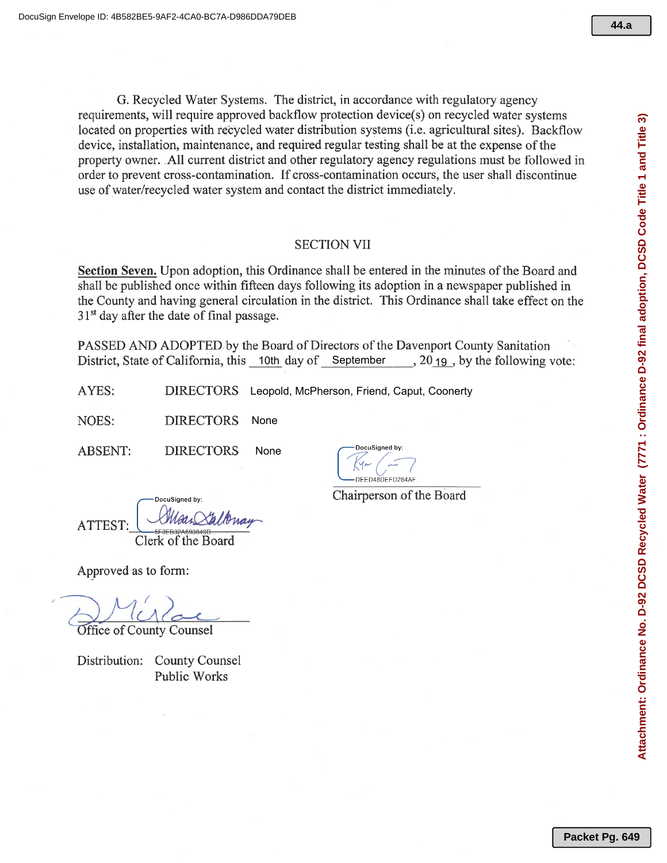G. Recycled Water Systems. The district, in accordance with regulatory agency requirements, will require approved backflow protection device(s) on recycled water systems located on properties with recycled water distribution systems (i.e. agricultural sites). Backflow device, installation, maintenance, and required regular testing shall be at the expense of the property owner. All current district and other regulatory agency regulations must be followed in order to prevent cross-contamination. If cross-contamination occurs, the user shall discontinue use of water/recycled water system and contact the district immediately.

## **SECTION VII**

Section Seven. Upon adoption, this Ordinance shall be entered in the minutes of the Board and shall be published once within fifteen days following its adoption in a newspaper published in the County and having general circulation in the district. This Ordinance shall take effect on the  $31<sup>st</sup>$  day after the date of final passage.

PASSED AND ADOPTED by the Board of Directors of the Davenport County Sanitation District, State of California, this 10th day of September 3019, by the following vote:

AYES: DIRECTORS Leopold, McPherson, Friend, Caput, Coonerty

NOES: **DIRECTORS** None

**ABSENT: DIRECTORS** None

DocuSianed by DEED48DEED284AF

Chairperson of the Board

DocuSianed b **ATTEST** Clerk of the Board

Approved as to form:

Office of County Counsel

Distribution: County Counsel **Public Works**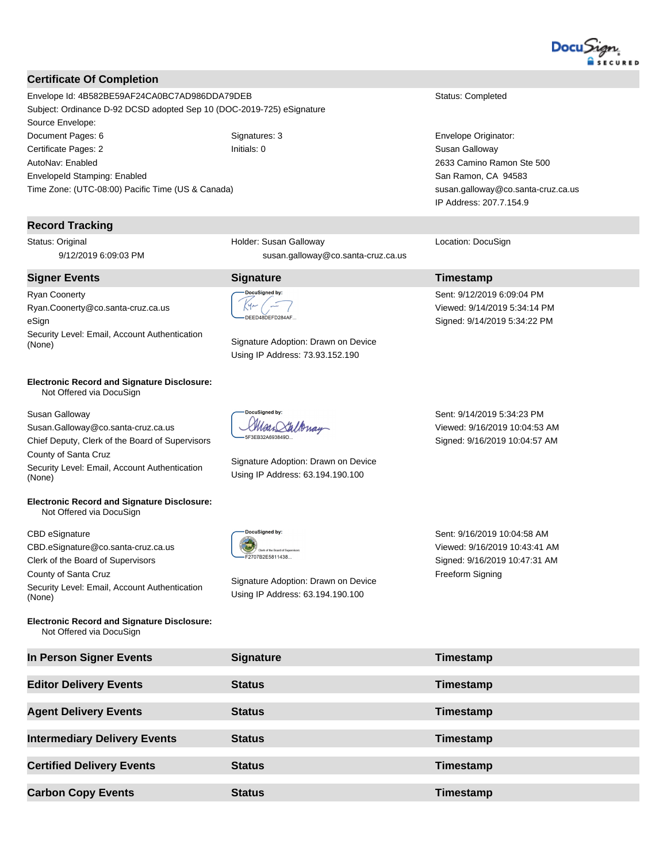

#### **Certificate Of Completion**

Envelope Id: 4B582BE59AF24CA0BC7AD986DDA79DEB Status: Completed Subject: Ordinance D-92 DCSD adopted Sep 10 (DOC-2019-725) eSignature Source Envelope: Document Pages: 6 Signatures: 3 Signatures: 3 Envelope Originator: Certificate Pages: 2 **Initials: 0** Initials: 0 Susan Galloway AutoNav: Enabled EnvelopeId Stamping: Enabled Time Zone: (UTC-08:00) Pacific Time (US & Canada)

#### **Record Tracking**

Status: Original 9/12/2019 6:09:03 PM

#### **Signer Events Signature Timestamp**

Ryan Coonerty Ryan.Coonerty@co.santa-cruz.ca.us eSign Security Level: Email, Account Authentication Signature Adoption: Drawn on Device (None)

#### **Electronic Record and Signature Disclosure:**  Not Offered via DocuSign

Susan Galloway

Susan.Galloway@co.santa-cruz.ca.us Chief Deputy, Clerk of the Board of Supervisors

County of Santa Cruz Security Level: Email, Account Authentication (None)

#### **Electronic Record and Signature Disclosure:**  Not Offered via DocuSign

CBD eSignature

CBD.eSignature@co.santa-cruz.ca.us Clerk of the Board of Supervisors

County of Santa Cruz Security Level: Email, Account Authentication (None)

**Electronic Record and Signature Disclosure:**  Not Offered via DocuSign

Holder: Susan Galloway susan.galloway@co.santa-cruz.ca.us

DEED48DEED284AF

Using IP Address: 73.93.152.190

.<br>DocuSianed by: Man Saltonay 5F3EB32A693849D.

Signature Adoption: Drawn on Device Using IP Address: 63.194.190.100

2633 Camino Ramon Ste 500 San Ramon, CA 94583 susan.galloway@co.santa-cruz.ca.us IP Address: 207.7.154.9

Location: DocuSign

Sent: 9/12/2019 6:09:04 PM Viewed: 9/14/2019 5:34:14 PM Signed: 9/14/2019 5:34:22 PM

Sent: 9/14/2019 5:34:23 PM Viewed: 9/16/2019 10:04:53 AM Signed: 9/16/2019 10:04:57 AM



Signature Adoption: Drawn on Device Using IP Address: 63.194.190.100

Sent: 9/16/2019 10:04:58 AM Viewed: 9/16/2019 10:43:41 AM Signed: 9/16/2019 10:47:31 AM Freeform Signing

| In Person Signer Events             | <b>Signature</b> | Timestamp |
|-------------------------------------|------------------|-----------|
| <b>Editor Delivery Events</b>       | <b>Status</b>    | Timestamp |
| <b>Agent Delivery Events</b>        | <b>Status</b>    | Timestamp |
| <b>Intermediary Delivery Events</b> | <b>Status</b>    | Timestamp |
| <b>Certified Delivery Events</b>    | <b>Status</b>    | Timestamp |
| <b>Carbon Copy Events</b>           | <b>Status</b>    | Timestamp |